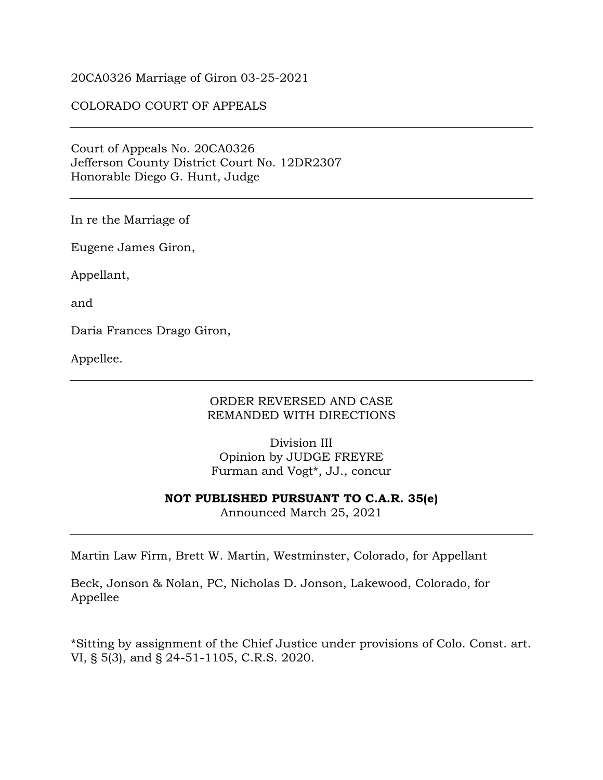#### 20CA0326 Marriage of Giron 03-25-2021

### COLORADO COURT OF APPEALS

Court of Appeals No. 20CA0326 Jefferson County District Court No. 12DR2307 Honorable Diego G. Hunt, Judge

In re the Marriage of

Eugene James Giron,

Appellant,

and

Daria Frances Drago Giron,

Appellee.

#### ORDER REVERSED AND CASE REMANDED WITH DIRECTIONS

Division III Opinion by JUDGE FREYRE Furman and Vogt\*, JJ., concur

**NOT PUBLISHED PURSUANT TO C.A.R. 35(e)**

Announced March 25, 2021

Martin Law Firm, Brett W. Martin, Westminster, Colorado, for Appellant

Beck, Jonson & Nolan, PC, Nicholas D. Jonson, Lakewood, Colorado, for Appellee

\*Sitting by assignment of the Chief Justice under provisions of Colo. Const. art. VI, § 5(3), and § 24-51-1105, C.R.S. 2020.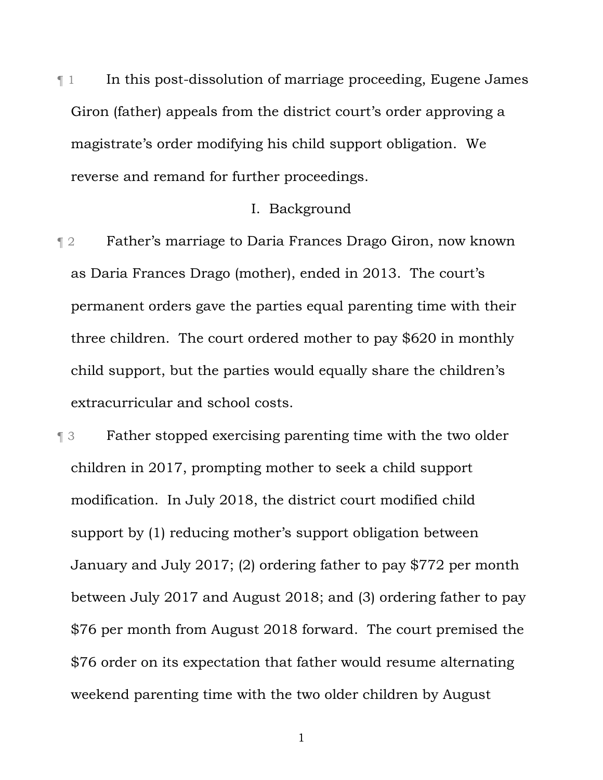¶ 1 In this post-dissolution of marriage proceeding, Eugene James Giron (father) appeals from the district court's order approving a magistrate's order modifying his child support obligation. We reverse and remand for further proceedings.

# I. Background

¶ 2 Father's marriage to Daria Frances Drago Giron, now known as Daria Frances Drago (mother), ended in 2013. The court's permanent orders gave the parties equal parenting time with their three children. The court ordered mother to pay \$620 in monthly child support, but the parties would equally share the children's extracurricular and school costs.

¶ 3 Father stopped exercising parenting time with the two older children in 2017, prompting mother to seek a child support modification. In July 2018, the district court modified child support by (1) reducing mother's support obligation between January and July 2017; (2) ordering father to pay \$772 per month between July 2017 and August 2018; and (3) ordering father to pay \$76 per month from August 2018 forward. The court premised the \$76 order on its expectation that father would resume alternating weekend parenting time with the two older children by August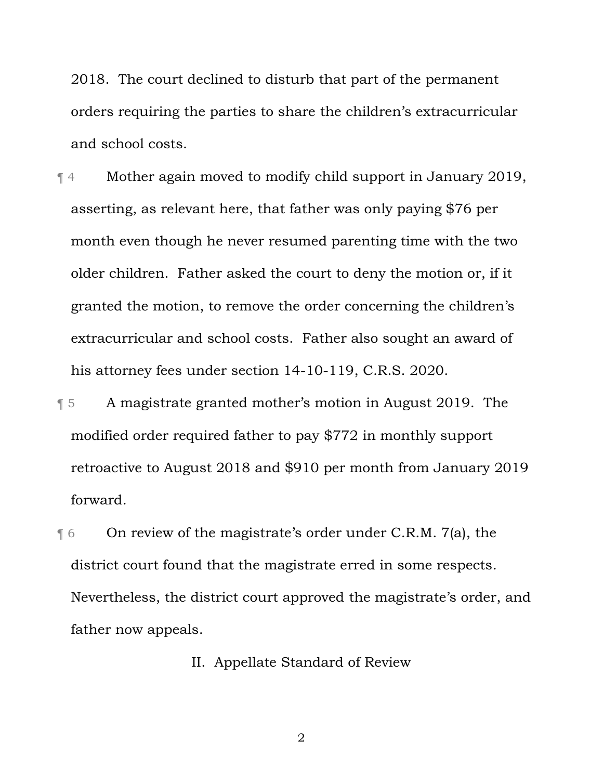2018. The court declined to disturb that part of the permanent orders requiring the parties to share the children's extracurricular and school costs.

¶ 4 Mother again moved to modify child support in January 2019, asserting, as relevant here, that father was only paying \$76 per month even though he never resumed parenting time with the two older children. Father asked the court to deny the motion or, if it granted the motion, to remove the order concerning the children's extracurricular and school costs. Father also sought an award of his attorney fees under section 14-10-119, C.R.S. 2020.

¶ 5 A magistrate granted mother's motion in August 2019. The modified order required father to pay \$772 in monthly support retroactive to August 2018 and \$910 per month from January 2019 forward.

**The Constant Convergence** of the magistrate's order under C.R.M. 7(a), the district court found that the magistrate erred in some respects. Nevertheless, the district court approved the magistrate's order, and father now appeals.

II. Appellate Standard of Review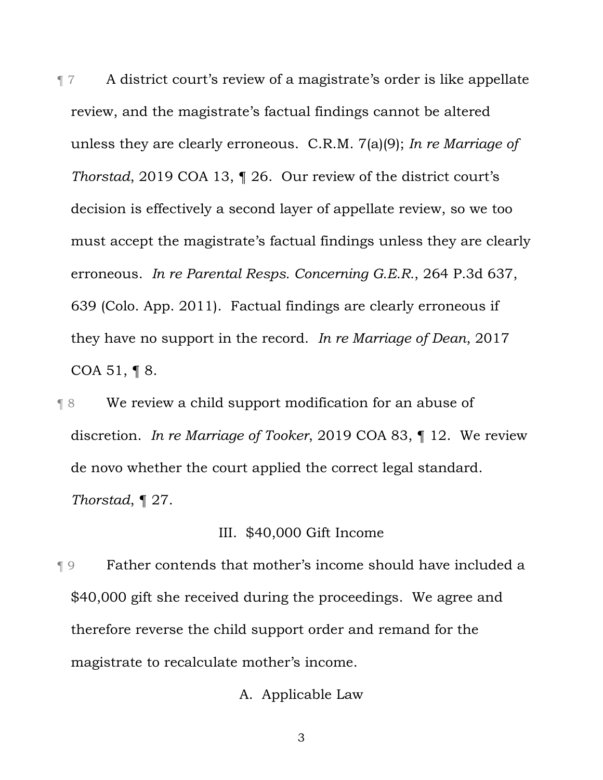¶ 7 A district court's review of a magistrate's order is like appellate review, and the magistrate's factual findings cannot be altered unless they are clearly erroneous. C.R.M. 7(a)(9); *In re Marriage of Thorstad*, 2019 COA 13, ¶ 26. Our review of the district court's decision is effectively a second layer of appellate review, so we too must accept the magistrate's factual findings unless they are clearly erroneous. *In re Parental Resps. Concerning G.E.R.*, 264 P.3d 637, 639 (Colo. App. 2011). Factual findings are clearly erroneous if they have no support in the record. *In re Marriage of Dean*, 2017 COA 51, ¶ 8.

¶ 8 We review a child support modification for an abuse of discretion. *In re Marriage of Tooker*, 2019 COA 83, ¶ 12. We review de novo whether the court applied the correct legal standard. *Thorstad*, ¶ 27.

## III. \$40,000 Gift Income

¶ 9 Father contends that mother's income should have included a \$40,000 gift she received during the proceedings. We agree and therefore reverse the child support order and remand for the magistrate to recalculate mother's income.

# A. Applicable Law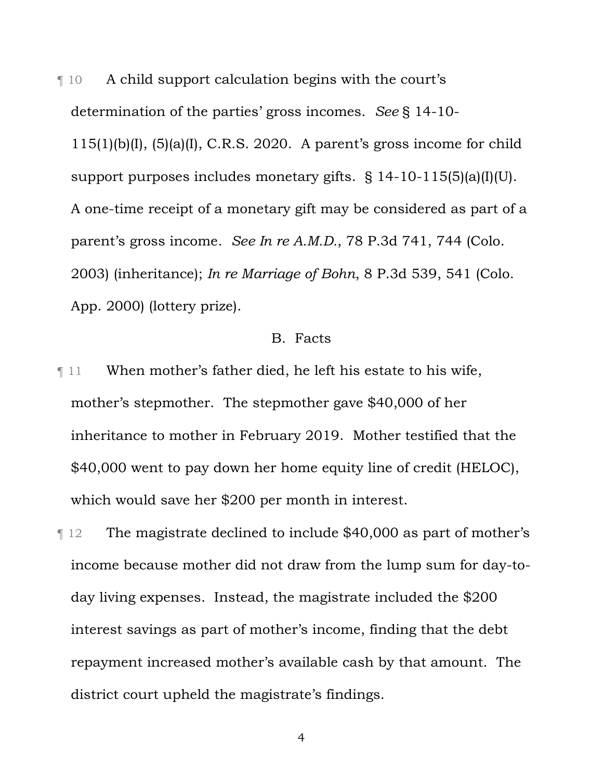¶ 10 A child support calculation begins with the court's determination of the parties' gross incomes. *See* § 14-10-  $115(1)(b)(I), (5)(a)(I), C.R.S. 2020.$  A parent's gross income for child support purposes includes monetary gifts. § 14-10-115(5)(a)(I)(U). A one-time receipt of a monetary gift may be considered as part of a parent's gross income. *See In re A.M.D.*, 78 P.3d 741, 744 (Colo. 2003) (inheritance); *In re Marriage of Bohn*, 8 P.3d 539, 541 (Colo. App. 2000) (lottery prize).

### B. Facts

¶ 11 When mother's father died, he left his estate to his wife, mother's stepmother. The stepmother gave \$40,000 of her inheritance to mother in February 2019. Mother testified that the \$40,000 went to pay down her home equity line of credit (HELOC), which would save her \$200 per month in interest.

¶ 12 The magistrate declined to include \$40,000 as part of mother's income because mother did not draw from the lump sum for day-today living expenses. Instead, the magistrate included the \$200 interest savings as part of mother's income, finding that the debt repayment increased mother's available cash by that amount. The district court upheld the magistrate's findings.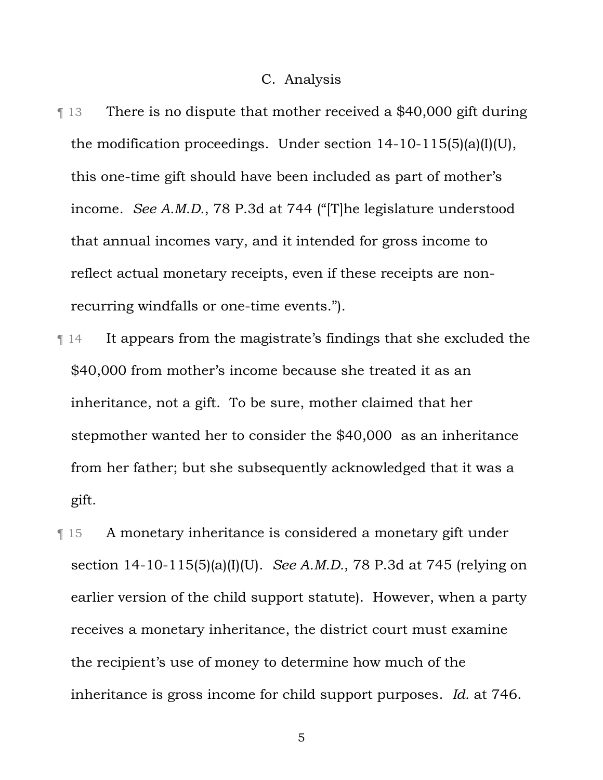#### C. Analysis

- ¶ 13 There is no dispute that mother received a \$40,000 gift during the modification proceedings. Under section 14-10-115(5)(a)(I)(U), this one-time gift should have been included as part of mother's income. *See A.M.D.*, 78 P.3d at 744 ("[T]he legislature understood that annual incomes vary, and it intended for gross income to reflect actual monetary receipts, even if these receipts are nonrecurring windfalls or one-time events.").
- ¶ 14 It appears from the magistrate's findings that she excluded the \$40,000 from mother's income because she treated it as an inheritance, not a gift. To be sure, mother claimed that her stepmother wanted her to consider the \$40,000 as an inheritance from her father; but she subsequently acknowledged that it was a gift.
- ¶ 15 A monetary inheritance is considered a monetary gift under section 14-10-115(5)(a)(I)(U). *See A.M.D.*, 78 P.3d at 745 (relying on earlier version of the child support statute). However, when a party receives a monetary inheritance, the district court must examine the recipient's use of money to determine how much of the inheritance is gross income for child support purposes. *Id.* at 746.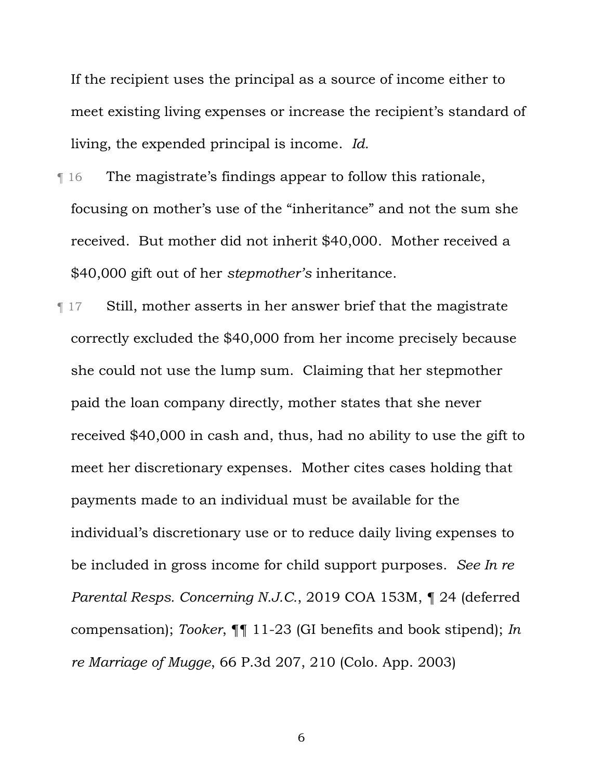If the recipient uses the principal as a source of income either to meet existing living expenses or increase the recipient's standard of living, the expended principal is income. *Id.*

- ¶ 16 The magistrate's findings appear to follow this rationale, focusing on mother's use of the "inheritance" and not the sum she received. But mother did not inherit \$40,000. Mother received a \$40,000 gift out of her *stepmother's* inheritance.
- ¶ 17 Still, mother asserts in her answer brief that the magistrate correctly excluded the \$40,000 from her income precisely because she could not use the lump sum. Claiming that her stepmother paid the loan company directly, mother states that she never received \$40,000 in cash and, thus, had no ability to use the gift to meet her discretionary expenses. Mother cites cases holding that payments made to an individual must be available for the individual's discretionary use or to reduce daily living expenses to be included in gross income for child support purposes. *See In re Parental Resps. Concerning N.J.C.*, 2019 COA 153M, ¶ 24 (deferred compensation); *Tooker*, ¶¶ 11-23 (GI benefits and book stipend); *In re Marriage of Mugge*, 66 P.3d 207, 210 (Colo. App. 2003)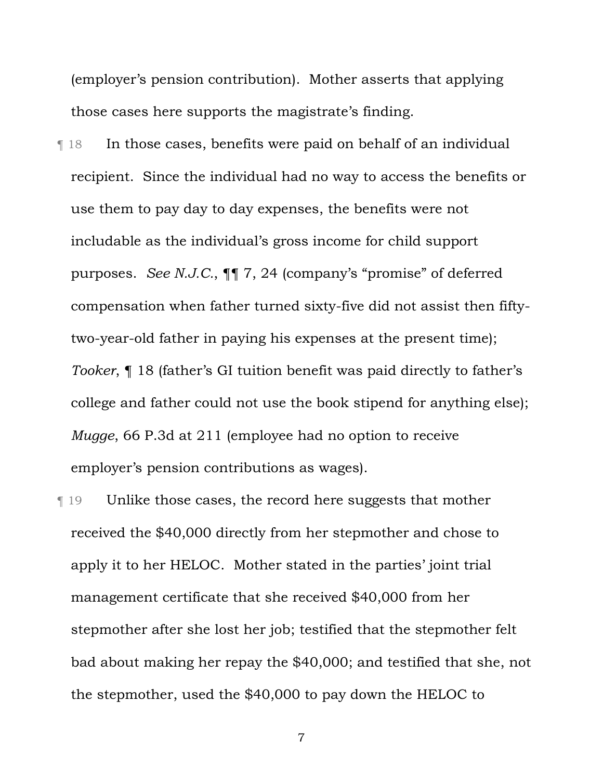(employer's pension contribution). Mother asserts that applying those cases here supports the magistrate's finding.

¶ 18 In those cases, benefits were paid on behalf of an individual recipient. Since the individual had no way to access the benefits or use them to pay day to day expenses, the benefits were not includable as the individual's gross income for child support purposes. *See N.J.C.*, ¶¶ 7, 24 (company's "promise" of deferred compensation when father turned sixty-five did not assist then fiftytwo-year-old father in paying his expenses at the present time); *Tooker*, ¶ 18 (father's GI tuition benefit was paid directly to father's college and father could not use the book stipend for anything else); *Mugge*, 66 P.3d at 211 (employee had no option to receive employer's pension contributions as wages).

¶ 19 Unlike those cases, the record here suggests that mother received the \$40,000 directly from her stepmother and chose to apply it to her HELOC. Mother stated in the parties' joint trial management certificate that she received \$40,000 from her stepmother after she lost her job; testified that the stepmother felt bad about making her repay the \$40,000; and testified that she, not the stepmother, used the \$40,000 to pay down the HELOC to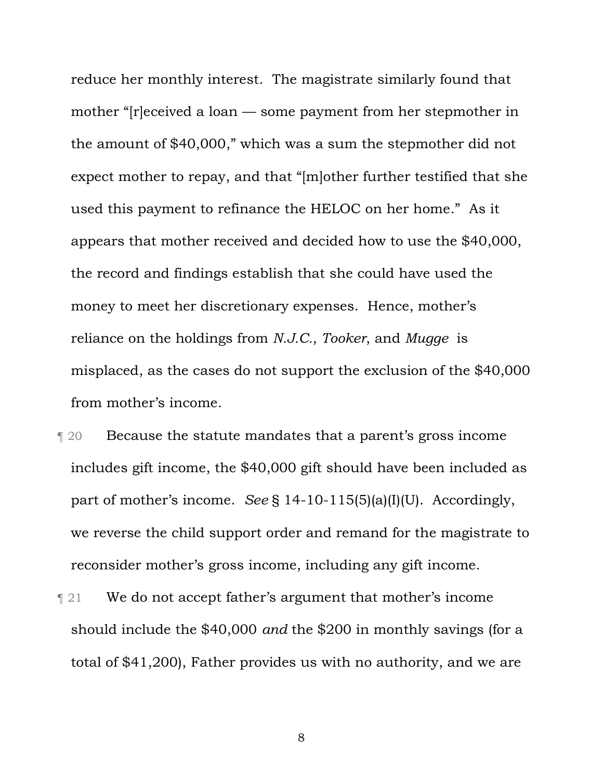reduce her monthly interest. The magistrate similarly found that mother "[r]eceived a loan — some payment from her stepmother in the amount of \$40,000," which was a sum the stepmother did not expect mother to repay, and that "[m]other further testified that she used this payment to refinance the HELOC on her home." As it appears that mother received and decided how to use the \$40,000, the record and findings establish that she could have used the money to meet her discretionary expenses. Hence, mother's reliance on the holdings from *N.J.C.*, *Tooker*, and *Mugge* is misplaced, as the cases do not support the exclusion of the \$40,000 from mother's income.

¶ 20 Because the statute mandates that a parent's gross income includes gift income, the \$40,000 gift should have been included as part of mother's income. *See* § 14-10-115(5)(a)(I)(U). Accordingly, we reverse the child support order and remand for the magistrate to reconsider mother's gross income, including any gift income.

**Texture 121** We do not accept father's argument that mother's income should include the \$40,000 *and* the \$200 in monthly savings (for a total of \$41,200), Father provides us with no authority, and we are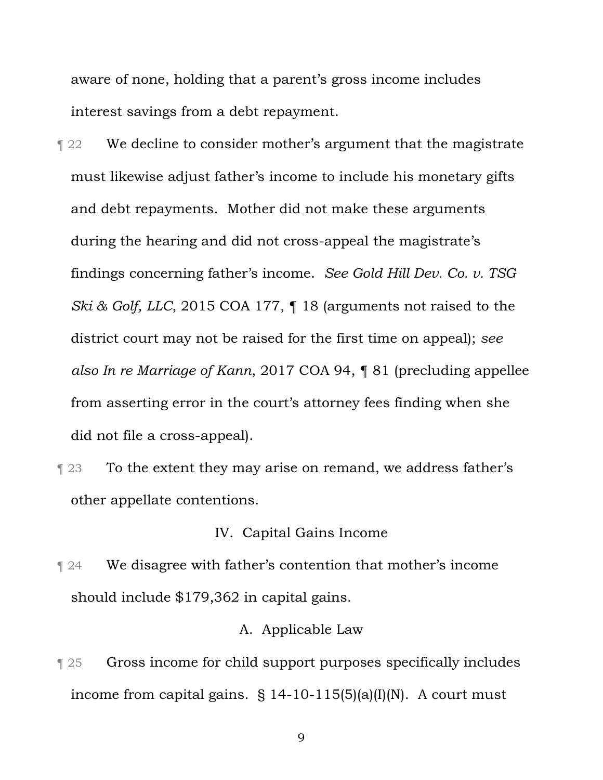aware of none, holding that a parent's gross income includes interest savings from a debt repayment.

**T** 22 We decline to consider mother's argument that the magistrate must likewise adjust father's income to include his monetary gifts and debt repayments. Mother did not make these arguments during the hearing and did not cross-appeal the magistrate's findings concerning father's income. *See Gold Hill Dev. Co. v. TSG Ski & Golf, LLC*, 2015 COA 177, ¶ 18 (arguments not raised to the district court may not be raised for the first time on appeal); *see also In re Marriage of Kann*, 2017 COA 94, ¶ 81 (precluding appellee from asserting error in the court's attorney fees finding when she did not file a cross-appeal).

**The 123 To the extent they may arise on remand, we address father's** other appellate contentions.

# IV. Capital Gains Income

**T** 24 We disagree with father's contention that mother's income should include \$179,362 in capital gains.

### A. Applicable Law

¶ 25 Gross income for child support purposes specifically includes income from capital gains.  $\S$  14-10-115(5)(a)(I)(N). A court must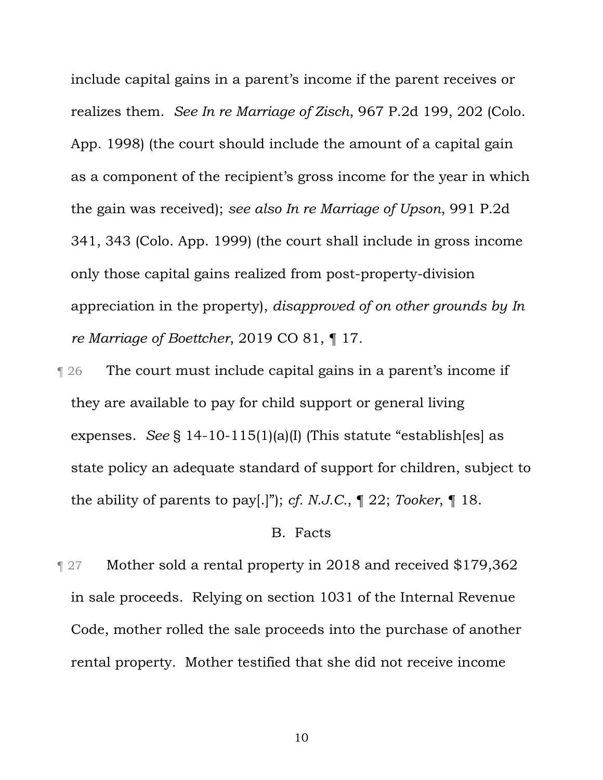include capital gains in a parent's income if the parent receives or realizes them. *See In re Marriage of Zisch*, 967 P.2d 199, 202 (Colo. App. 1998) (the court should include the amount of a capital gain as a component of the recipient's gross income for the year in which the gain was received); *see also In re Marriage of Upson*, 991 P.2d 341, 343 (Colo. App. 1999) (the court shall include in gross income only those capital gains realized from post-property-division appreciation in the property), *disapproved of on other grounds by In re Marriage of Boettcher*, 2019 CO 81, ¶ 17*.* 

¶ 26 The court must include capital gains in a parent's income if they are available to pay for child support or general living expenses. *See* § 14-10-115(1)(a)(I) (This statute "establish[es] as state policy an adequate standard of support for children, subject to the ability of parents to pay[.]"); *cf. N.J.C.*, ¶ 22; *Tooker*, ¶ 18.

## B. Facts

**Term 27** Mother sold a rental property in 2018 and received \$179,362 in sale proceeds. Relying on section 1031 of the Internal Revenue Code, mother rolled the sale proceeds into the purchase of another rental property. Mother testified that she did not receive income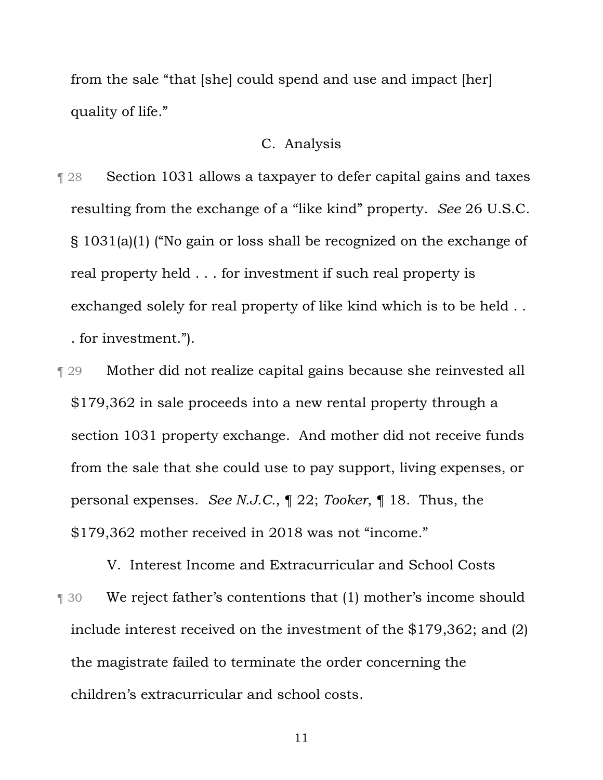from the sale "that [she] could spend and use and impact [her] quality of life."

# C. Analysis

- ¶ 28 Section 1031 allows a taxpayer to defer capital gains and taxes resulting from the exchange of a "like kind" property. *See* 26 U.S.C. § 1031(a)(1) ("No gain or loss shall be recognized on the exchange of real property held . . . for investment if such real property is exchanged solely for real property of like kind which is to be held . . . for investment.").
- ¶ 29 Mother did not realize capital gains because she reinvested all \$179,362 in sale proceeds into a new rental property through a section 1031 property exchange. And mother did not receive funds from the sale that she could use to pay support, living expenses, or personal expenses. *See N.J.C.*, ¶ 22; *Tooker*, ¶ 18. Thus, the \$179,362 mother received in 2018 was not "income."

V. Interest Income and Extracurricular and School Costs **T** 30 We reject father's contentions that (1) mother's income should include interest received on the investment of the \$179,362; and (2) the magistrate failed to terminate the order concerning the children's extracurricular and school costs.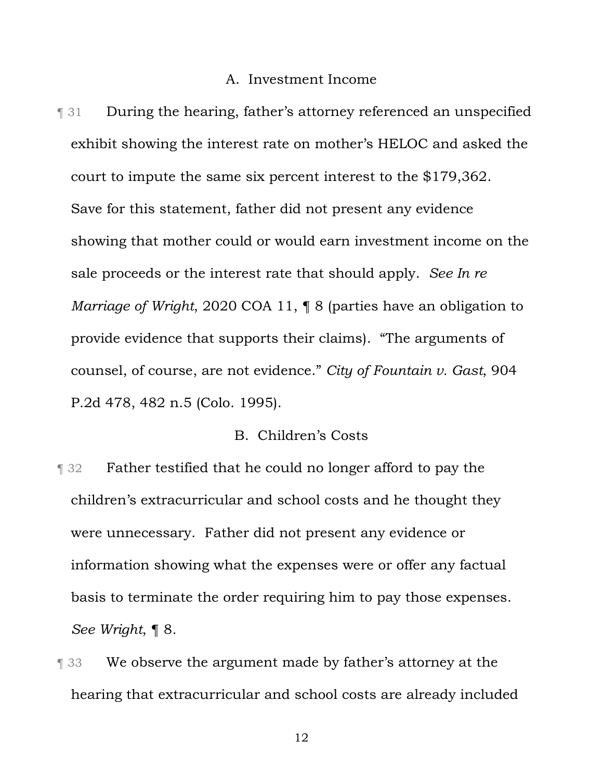### A. Investment Income

¶ 31 During the hearing, father's attorney referenced an unspecified exhibit showing the interest rate on mother's HELOC and asked the court to impute the same six percent interest to the \$179,362. Save for this statement, father did not present any evidence showing that mother could or would earn investment income on the sale proceeds or the interest rate that should apply. *See In re Marriage of Wright*, 2020 COA 11, ¶ 8 (parties have an obligation to provide evidence that supports their claims). "The arguments of counsel, of course, are not evidence." *City of Fountain v. Gast*, 904 P.2d 478, 482 n.5 (Colo. 1995).

## B. Children's Costs

- **Term 32** Father testified that he could no longer afford to pay the children's extracurricular and school costs and he thought they were unnecessary. Father did not present any evidence or information showing what the expenses were or offer any factual basis to terminate the order requiring him to pay those expenses. *See Wright*, ¶ 8*.*
- **The 33** We observe the argument made by father's attorney at the hearing that extracurricular and school costs are already included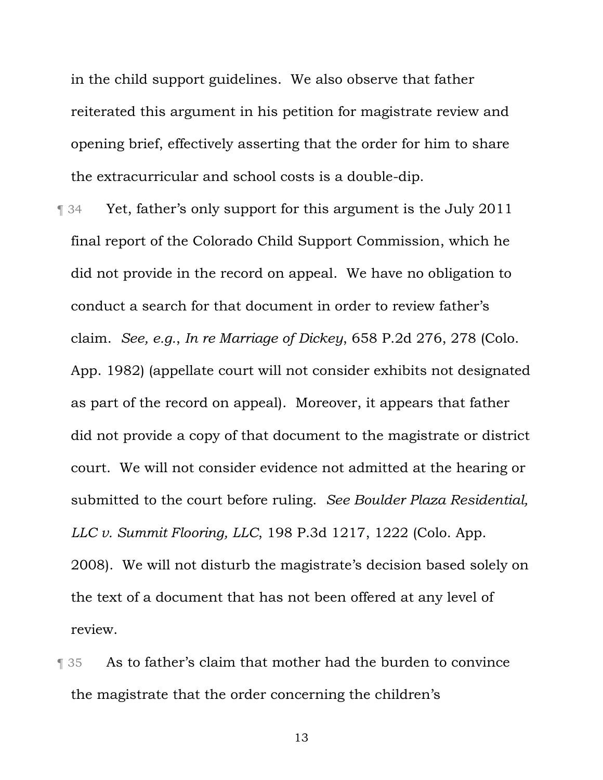in the child support guidelines. We also observe that father reiterated this argument in his petition for magistrate review and opening brief, effectively asserting that the order for him to share the extracurricular and school costs is a double-dip.

- **T** 34 Yet, father's only support for this argument is the July 2011 final report of the Colorado Child Support Commission, which he did not provide in the record on appeal. We have no obligation to conduct a search for that document in order to review father's claim. *See, e.g.*, *In re Marriage of Dickey*, 658 P.2d 276, 278 (Colo. App. 1982) (appellate court will not consider exhibits not designated as part of the record on appeal). Moreover, it appears that father did not provide a copy of that document to the magistrate or district court. We will not consider evidence not admitted at the hearing or submitted to the court before ruling. *See Boulder Plaza Residential, LLC v. Summit Flooring, LLC*, 198 P.3d 1217, 1222 (Colo. App. 2008). We will not disturb the magistrate's decision based solely on the text of a document that has not been offered at any level of review.
- ¶ 35 As to father's claim that mother had the burden to convince the magistrate that the order concerning the children's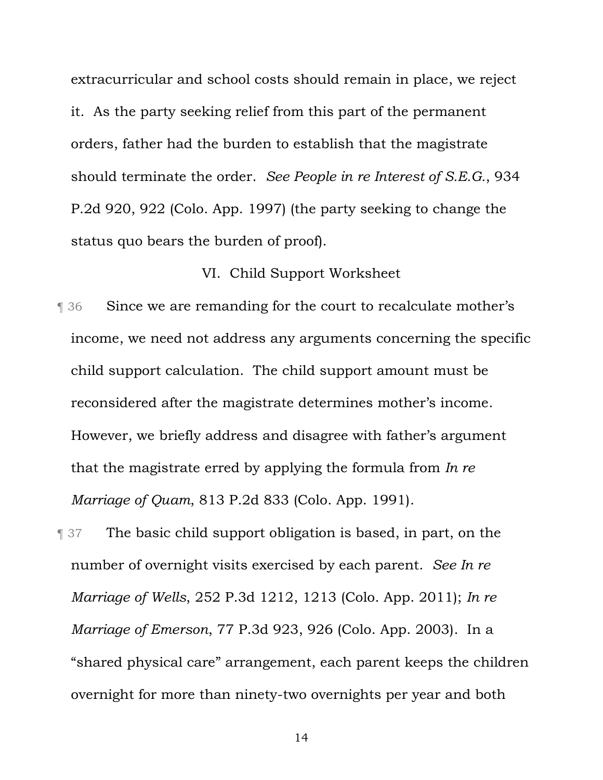extracurricular and school costs should remain in place, we reject it. As the party seeking relief from this part of the permanent orders, father had the burden to establish that the magistrate should terminate the order. *See People in re Interest of S.E.G.*, 934 P.2d 920, 922 (Colo. App. 1997) (the party seeking to change the status quo bears the burden of proof).

# VI. Child Support Worksheet

- ¶ 36 Since we are remanding for the court to recalculate mother's income, we need not address any arguments concerning the specific child support calculation. The child support amount must be reconsidered after the magistrate determines mother's income. However, we briefly address and disagree with father's argument that the magistrate erred by applying the formula from *In re Marriage of Quam*, 813 P.2d 833 (Colo. App. 1991).
- ¶ 37 The basic child support obligation is based, in part, on the number of overnight visits exercised by each parent. *See In re Marriage of Wells*, 252 P.3d 1212, 1213 (Colo. App. 2011); *In re Marriage of Emerson*, 77 P.3d 923, 926 (Colo. App. 2003). In a "shared physical care" arrangement, each parent keeps the children overnight for more than ninety-two overnights per year and both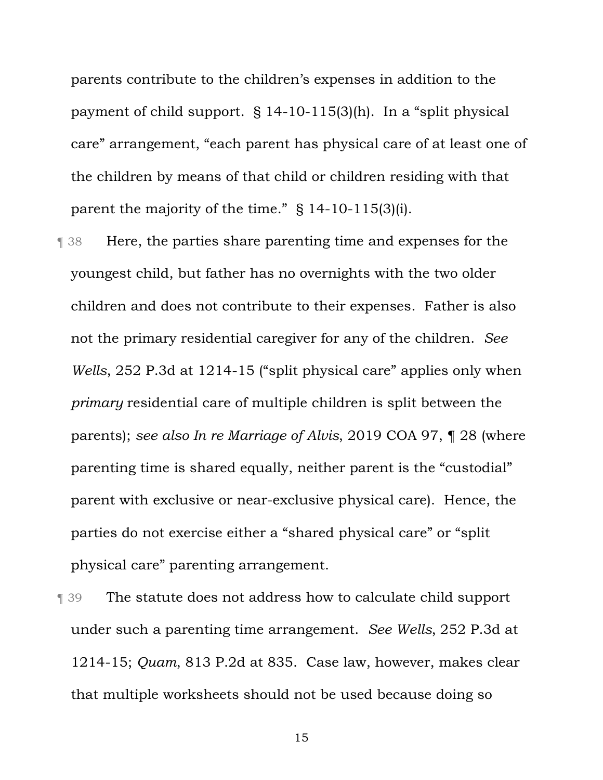parents contribute to the children's expenses in addition to the payment of child support. § 14-10-115(3)(h). In a "split physical care" arrangement, "each parent has physical care of at least one of the children by means of that child or children residing with that parent the majority of the time." § 14-10-115(3)(i).

- ¶ 38 Here, the parties share parenting time and expenses for the youngest child, but father has no overnights with the two older children and does not contribute to their expenses. Father is also not the primary residential caregiver for any of the children. *See Wells*, 252 P.3d at 1214-15 ("split physical care" applies only when *primary* residential care of multiple children is split between the parents); *see also In re Marriage of Alvis*, 2019 COA 97, ¶ 28 (where parenting time is shared equally, neither parent is the "custodial" parent with exclusive or near-exclusive physical care). Hence, the parties do not exercise either a "shared physical care" or "split physical care" parenting arrangement.
- ¶ 39 The statute does not address how to calculate child support under such a parenting time arrangement. *See Wells*, 252 P.3d at 1214-15; *Quam*, 813 P.2d at 835. Case law, however, makes clear that multiple worksheets should not be used because doing so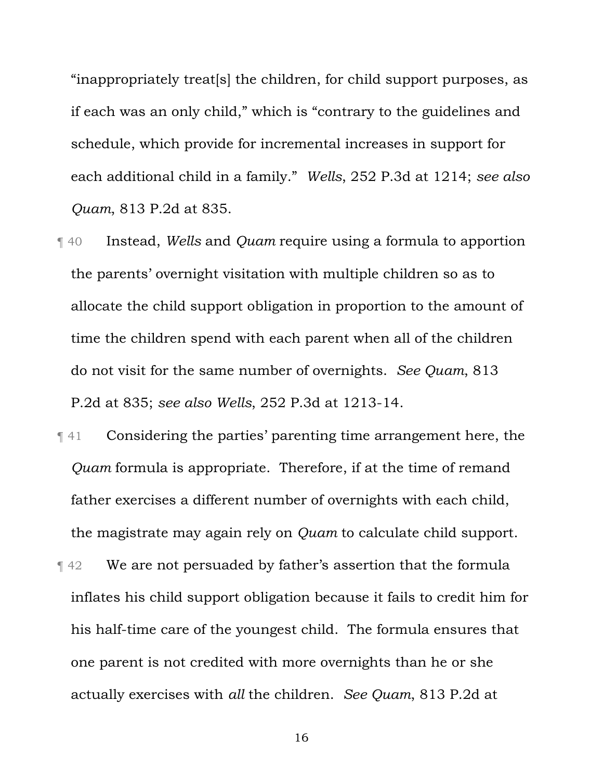"inappropriately treat[s] the children, for child support purposes, as if each was an only child," which is "contrary to the guidelines and schedule, which provide for incremental increases in support for each additional child in a family." *Wells*, 252 P.3d at 1214; *see also Quam*, 813 P.2d at 835.

- ¶ 40 Instead, *Wells* and *Quam* require using a formula to apportion the parents' overnight visitation with multiple children so as to allocate the child support obligation in proportion to the amount of time the children spend with each parent when all of the children do not visit for the same number of overnights. *See Quam*, 813 P.2d at 835; *see also Wells*, 252 P.3d at 1213-14.
- ¶ 41 Considering the parties' parenting time arrangement here, the *Quam* formula is appropriate. Therefore, if at the time of remand father exercises a different number of overnights with each child, the magistrate may again rely on *Quam* to calculate child support. **Tellah 42** We are not persuaded by father's assertion that the formula
- inflates his child support obligation because it fails to credit him for his half-time care of the youngest child. The formula ensures that one parent is not credited with more overnights than he or she actually exercises with *all* the children. *See Quam*, 813 P.2d at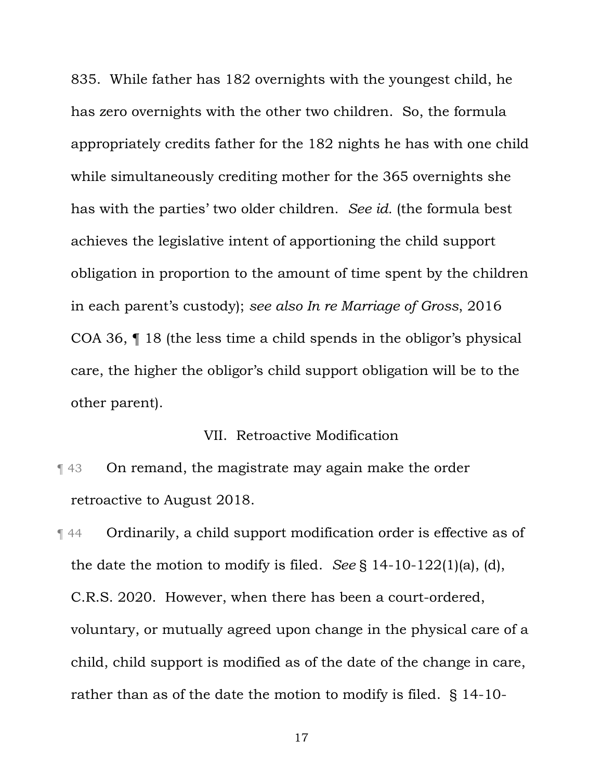835. While father has 182 overnights with the youngest child, he has zero overnights with the other two children. So, the formula appropriately credits father for the 182 nights he has with one child while simultaneously crediting mother for the 365 overnights she has with the parties' two older children. *See id.* (the formula best achieves the legislative intent of apportioning the child support obligation in proportion to the amount of time spent by the children in each parent's custody); *see also In re Marriage of Gross*, 2016 COA 36, ¶ 18 (the less time a child spends in the obligor's physical care, the higher the obligor's child support obligation will be to the other parent).

### VII. Retroactive Modification

¶ 43 On remand, the magistrate may again make the order retroactive to August 2018.

¶ 44 Ordinarily, a child support modification order is effective as of the date the motion to modify is filed. *See* § 14-10-122(1)(a), (d), C.R.S. 2020. However, when there has been a court-ordered, voluntary, or mutually agreed upon change in the physical care of a child, child support is modified as of the date of the change in care, rather than as of the date the motion to modify is filed. § 14-10-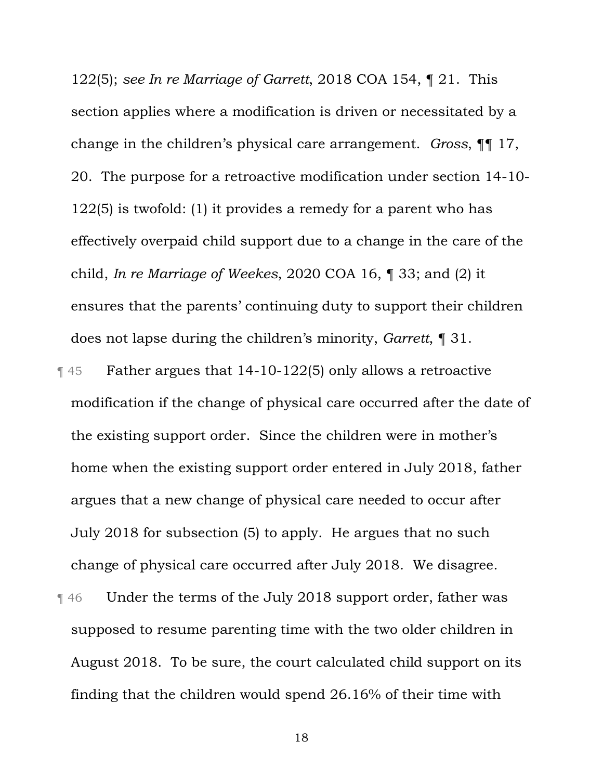122(5); *see In re Marriage of Garrett*, 2018 COA 154, ¶ 21. This section applies where a modification is driven or necessitated by a change in the children's physical care arrangement. *Gross*, ¶¶ 17, 20. The purpose for a retroactive modification under section 14-10- 122(5) is twofold: (1) it provides a remedy for a parent who has effectively overpaid child support due to a change in the care of the child, *In re Marriage of Weekes*, 2020 COA 16, ¶ 33; and (2) it ensures that the parents' continuing duty to support their children does not lapse during the children's minority, *Garrett*, ¶ 31.

- ¶ 45 Father argues that 14-10-122(5) only allows a retroactive modification if the change of physical care occurred after the date of the existing support order. Since the children were in mother's home when the existing support order entered in July 2018, father argues that a new change of physical care needed to occur after July 2018 for subsection (5) to apply. He argues that no such change of physical care occurred after July 2018. We disagree.
- ¶ 46 Under the terms of the July 2018 support order, father was supposed to resume parenting time with the two older children in August 2018. To be sure, the court calculated child support on its finding that the children would spend 26.16% of their time with
	- 18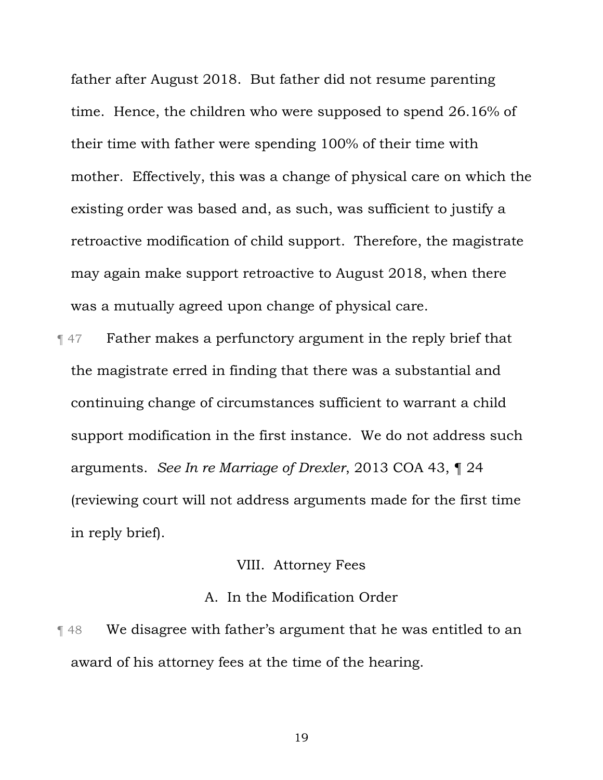father after August 2018. But father did not resume parenting time. Hence, the children who were supposed to spend 26.16% of their time with father were spending 100% of their time with mother. Effectively, this was a change of physical care on which the existing order was based and, as such, was sufficient to justify a retroactive modification of child support. Therefore, the magistrate may again make support retroactive to August 2018, when there was a mutually agreed upon change of physical care.

¶ 47 Father makes a perfunctory argument in the reply brief that the magistrate erred in finding that there was a substantial and continuing change of circumstances sufficient to warrant a child support modification in the first instance. We do not address such arguments. *See In re Marriage of Drexler*, 2013 COA 43, ¶ 24 (reviewing court will not address arguments made for the first time in reply brief).

# VIII. Attorney Fees

## A. In the Modification Order

¶ 48 We disagree with father's argument that he was entitled to an award of his attorney fees at the time of the hearing.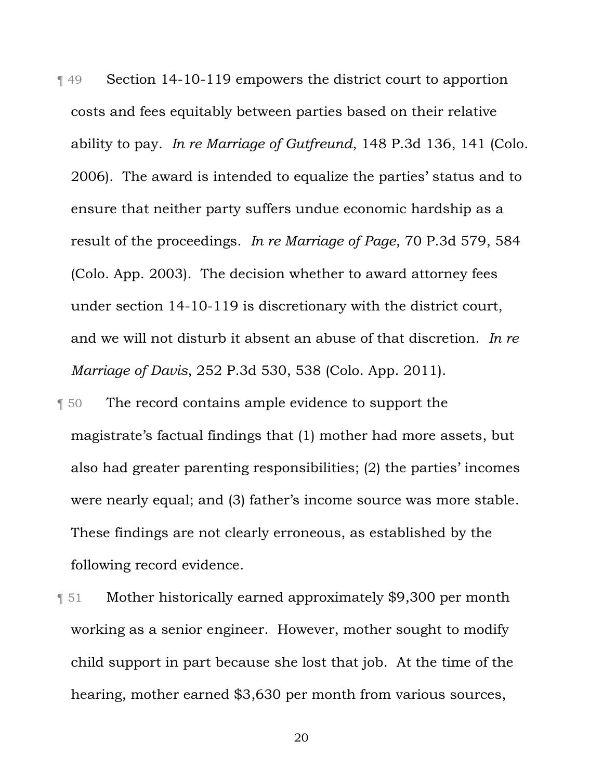¶ 49 Section 14-10-119 empowers the district court to apportion costs and fees equitably between parties based on their relative ability to pay. *In re Marriage of Gutfreund*, 148 P.3d 136, 141 (Colo. 2006). The award is intended to equalize the parties' status and to ensure that neither party suffers undue economic hardship as a result of the proceedings. *In re Marriage of Page*, 70 P.3d 579, 584 (Colo. App. 2003). The decision whether to award attorney fees under section 14-10-119 is discretionary with the district court, and we will not disturb it absent an abuse of that discretion. *In re Marriage of Davis*, 252 P.3d 530, 538 (Colo. App. 2011).

¶ 50 The record contains ample evidence to support the magistrate's factual findings that (1) mother had more assets, but also had greater parenting responsibilities; (2) the parties' incomes were nearly equal; and (3) father's income source was more stable. These findings are not clearly erroneous, as established by the following record evidence.

¶ 51 Mother historically earned approximately \$9,300 per month working as a senior engineer. However, mother sought to modify child support in part because she lost that job. At the time of the hearing, mother earned \$3,630 per month from various sources,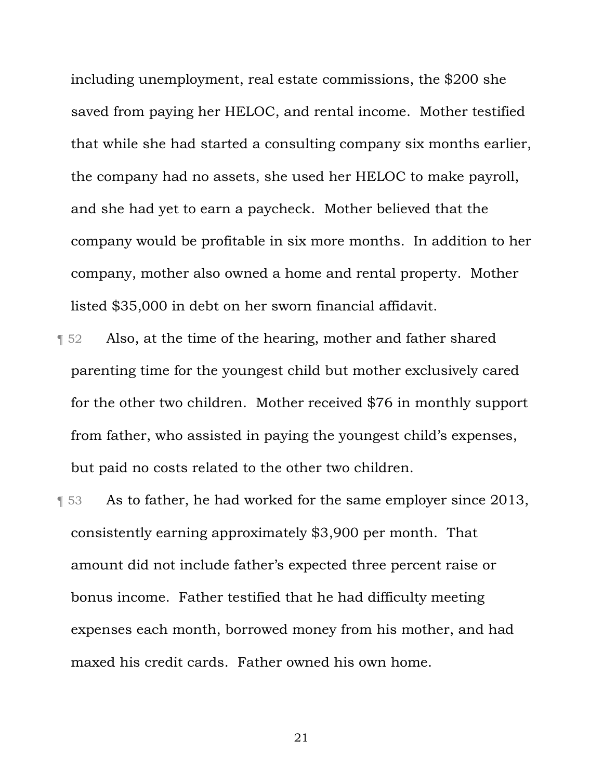including unemployment, real estate commissions, the \$200 she saved from paying her HELOC, and rental income. Mother testified that while she had started a consulting company six months earlier, the company had no assets, she used her HELOC to make payroll, and she had yet to earn a paycheck. Mother believed that the company would be profitable in six more months. In addition to her company, mother also owned a home and rental property. Mother listed \$35,000 in debt on her sworn financial affidavit.

- **T** 52 Also, at the time of the hearing, mother and father shared parenting time for the youngest child but mother exclusively cared for the other two children. Mother received \$76 in monthly support from father, who assisted in paying the youngest child's expenses, but paid no costs related to the other two children.
- **Fermion 3** As to father, he had worked for the same employer since 2013, consistently earning approximately \$3,900 per month. That amount did not include father's expected three percent raise or bonus income. Father testified that he had difficulty meeting expenses each month, borrowed money from his mother, and had maxed his credit cards. Father owned his own home.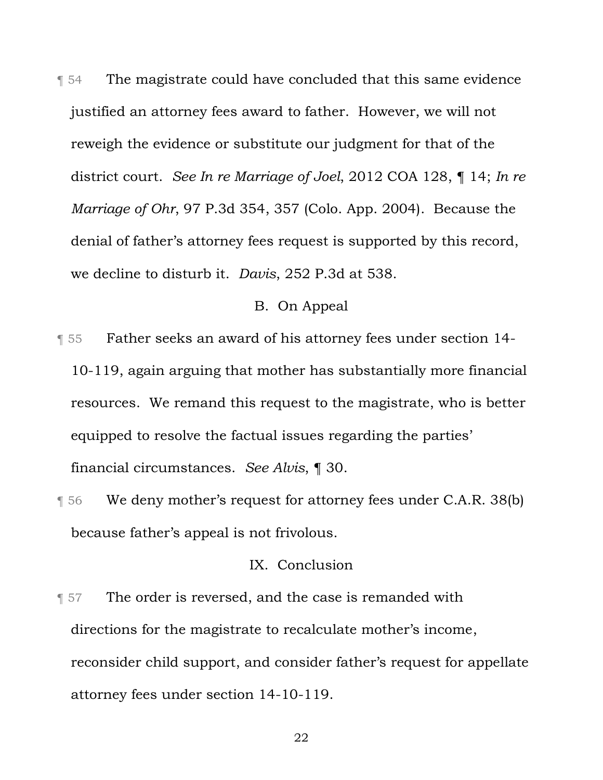¶ 54 The magistrate could have concluded that this same evidence justified an attorney fees award to father. However, we will not reweigh the evidence or substitute our judgment for that of the district court. *See In re Marriage of Joel*, 2012 COA 128, ¶ 14; *In re Marriage of Ohr*, 97 P.3d 354, 357 (Colo. App. 2004). Because the denial of father's attorney fees request is supported by this record, we decline to disturb it. *Davis*, 252 P.3d at 538.

#### B. On Appeal

- ¶ 55 Father seeks an award of his attorney fees under section 14- 10-119, again arguing that mother has substantially more financial resources. We remand this request to the magistrate, who is better equipped to resolve the factual issues regarding the parties' financial circumstances. *See Alvis*, ¶ 30.
- ¶ 56 We deny mother's request for attorney fees under C.A.R. 38(b) because father's appeal is not frivolous.

## IX. Conclusion

**The order is reversed, and the case is remanded with** directions for the magistrate to recalculate mother's income, reconsider child support, and consider father's request for appellate attorney fees under section 14-10-119.